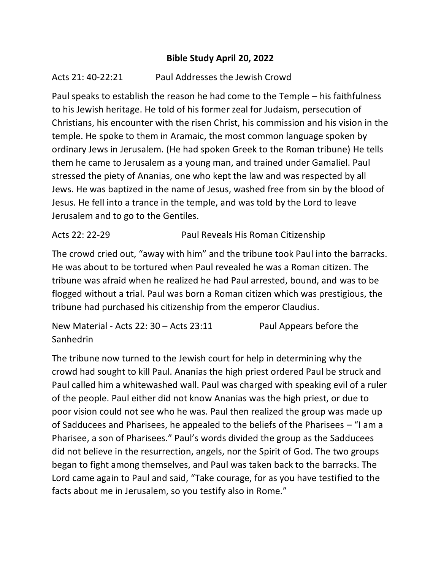## **Bible Study April 20, 2022**

## Acts 21: 40-22:21 Paul Addresses the Jewish Crowd

Paul speaks to establish the reason he had come to the Temple – his faithfulness to his Jewish heritage. He told of his former zeal for Judaism, persecution of Christians, his encounter with the risen Christ, his commission and his vision in the temple. He spoke to them in Aramaic, the most common language spoken by ordinary Jews in Jerusalem. (He had spoken Greek to the Roman tribune) He tells them he came to Jerusalem as a young man, and trained under Gamaliel. Paul stressed the piety of Ananias, one who kept the law and was respected by all Jews. He was baptized in the name of Jesus, washed free from sin by the blood of Jesus. He fell into a trance in the temple, and was told by the Lord to leave Jerusalem and to go to the Gentiles.

Acts 22: 22-29 Paul Reveals His Roman Citizenship

The crowd cried out, "away with him" and the tribune took Paul into the barracks. He was about to be tortured when Paul revealed he was a Roman citizen. The tribune was afraid when he realized he had Paul arrested, bound, and was to be flogged without a trial. Paul was born a Roman citizen which was prestigious, the tribune had purchased his citizenship from the emperor Claudius.

New Material - Acts 22: 30 – Acts 23:11 Paul Appears before the **Sanhedrin** 

The tribune now turned to the Jewish court for help in determining why the crowd had sought to kill Paul. Ananias the high priest ordered Paul be struck and Paul called him a whitewashed wall. Paul was charged with speaking evil of a ruler of the people. Paul either did not know Ananias was the high priest, or due to poor vision could not see who he was. Paul then realized the group was made up of Sadducees and Pharisees, he appealed to the beliefs of the Pharisees – "I am a Pharisee, a son of Pharisees." Paul's words divided the group as the Sadducees did not believe in the resurrection, angels, nor the Spirit of God. The two groups began to fight among themselves, and Paul was taken back to the barracks. The Lord came again to Paul and said, "Take courage, for as you have testified to the facts about me in Jerusalem, so you testify also in Rome."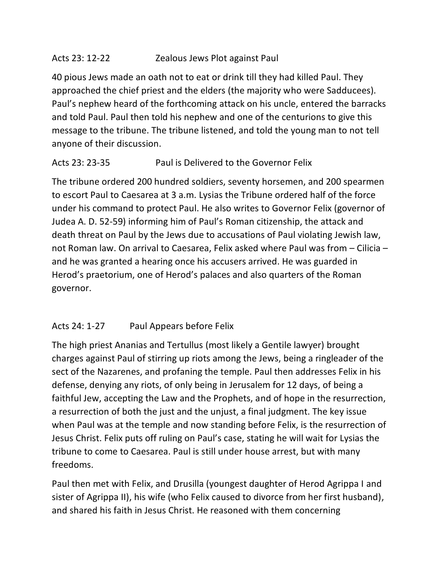# Acts 23: 12-22 Zealous Jews Plot against Paul

40 pious Jews made an oath not to eat or drink till they had killed Paul. They approached the chief priest and the elders (the majority who were Sadducees). Paul's nephew heard of the forthcoming attack on his uncle, entered the barracks and told Paul. Paul then told his nephew and one of the centurions to give this message to the tribune. The tribune listened, and told the young man to not tell anyone of their discussion.

# Acts 23: 23-35 Paul is Delivered to the Governor Felix

The tribune ordered 200 hundred soldiers, seventy horsemen, and 200 spearmen to escort Paul to Caesarea at 3 a.m. Lysias the Tribune ordered half of the force under his command to protect Paul. He also writes to Governor Felix (governor of Judea A. D. 52-59) informing him of Paul's Roman citizenship, the attack and death threat on Paul by the Jews due to accusations of Paul violating Jewish law, not Roman law. On arrival to Caesarea, Felix asked where Paul was from – Cilicia – and he was granted a hearing once his accusers arrived. He was guarded in Herod's praetorium, one of Herod's palaces and also quarters of the Roman governor.

# Acts 24: 1-27 Paul Appears before Felix

The high priest Ananias and Tertullus (most likely a Gentile lawyer) brought charges against Paul of stirring up riots among the Jews, being a ringleader of the sect of the Nazarenes, and profaning the temple. Paul then addresses Felix in his defense, denying any riots, of only being in Jerusalem for 12 days, of being a faithful Jew, accepting the Law and the Prophets, and of hope in the resurrection, a resurrection of both the just and the unjust, a final judgment. The key issue when Paul was at the temple and now standing before Felix, is the resurrection of Jesus Christ. Felix puts off ruling on Paul's case, stating he will wait for Lysias the tribune to come to Caesarea. Paul is still under house arrest, but with many freedoms.

Paul then met with Felix, and Drusilla (youngest daughter of Herod Agrippa I and sister of Agrippa II), his wife (who Felix caused to divorce from her first husband), and shared his faith in Jesus Christ. He reasoned with them concerning